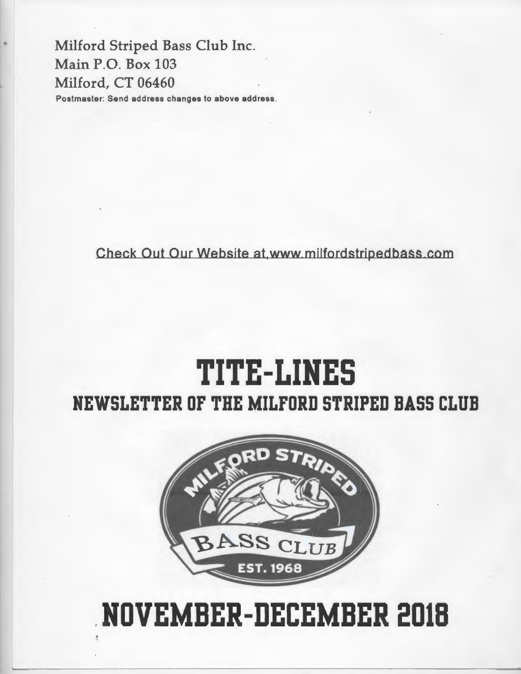Milford Striped Bass Club Inc. Main P.O. Box 103 Milford, CT 06460 Postmaster: Send address changes to above address.

Check Out Our Website at,www milfordstripedbass com

## **TITE-LIHES NEWSLETTER OF THE MILFORD STRIPED BASS CLUB**



# , **NOVEMBER-DECEMBER 2018**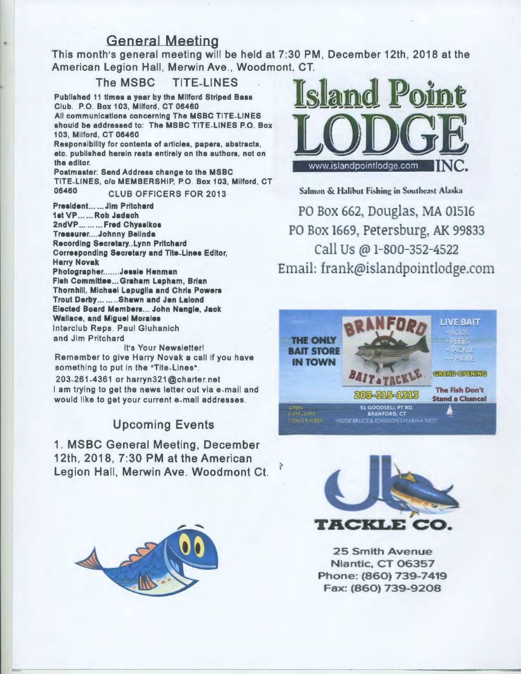### General Meeting

This month's general meeting will be held at 7:30 PM , December 12th, 2018 at the American Legion Hall, Merwin Ave., Woodmont. CT.<br>
The MSBC TITE-LINES<br>
Published 11 times a year by the Milford Striped Bass.<br>
Text and **Particular interval in the Milford Striped Bass** 

Published 11 times a year by the Milford Striped Bass<br>Club. P.O. Box 103, Milford, CT 06460 \_:<br>All communications concerning The MSBC TITE-LINES Fublished 11 times a year by the Milford Striped Bass<br>Club. P.O. Box 103, Milford, CT 06460<br>All communications concerning The MSBC TITE-LINES<br>should be addressed to: The MSBC TITE-LINES P.O. Box<br>103, Milford, CT 06460

should be addressed to: The MSBC TITE-LINES P.O. Box 103, Milford, CT 06460<br>Responsibility for contents of articles, papers, abstracts, etc. published herein rests entirely on the authors, not on the editor.

Postmaster: Send Address change to the MSBC • TITE-LINES, c/o MEMBERSHIP, P.O. Box 103, Milford, CT 06460 CLUB OFFICERS FOR 2013 Salmon & Halibut Fishing in Southeast Alaska

#### President... ... Jim Pritchard 1at VP ...... Rob Jadach 2ndVP ......... Fred Chyaaikoa Treasurer....Johnny Belinda Recording Secretary..Lynn Pritchard Correaponding Secretary and Tlte-Linea Editor, Harry Novak Photographer.......Jessie Henman Flah Committee ... Graham Lapham, Brian Thornhill, Michael Lapuglia and Chris Powers Trout Derby ........ Shawn and Jen Lalond Elected Board Members... John Nangle, Jack Wallace, and Miguel Morales

Interclub Reps. Paul Gluhanich

and Jim Pritchard

It's Your Newsletter! Remember to give Harry Novak a call if you have something to put in the "Tite-Lines".

203-261-4361 or harryn321 @charter. net I am trying to get the news letter out via e-mail and would like to get your current e-mail addresses.

#### Upcoming Events

1. MSBC General Meeting, December 12th, 2018, 7:30 PM at the American Legion Hall, Merwin Ave. Woodmont Ct.





PO Box 662, Douglas, MA 01516 PO Box 1669, Petersburg, AK 99833 call Us @ 1-800-352-4522 Email: frank@islandpointlodge.com





25 Smith Avenue Niantic, CT 06357 Phone: (860) 739-7419 Fax: (860) 739-9208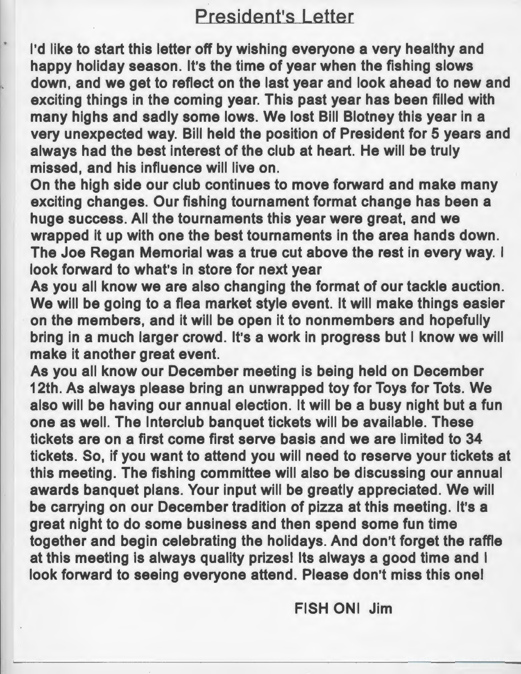## President's Letter

I'd like to start this letter off by wishing everyone a very healthy and happy holiday season. It's the time of year when the fishing slows down, and we get to reflect on the last year and look ahead to new and exciting things in the coming year. This past year has been filled with many highs and sadly some lows. We lost Bill Blotney this year in a very unexpected way. Bill held the position of President for 5 years and always had the best interest of the club at heart. He will be truly missed, and his influence will live on.

On the high side our club continues to move forward and make many exciting changes. Our fishing tournament format change has been a huge success. All the tournaments this year were great. and we wrapped it up with one the best tournaments in the area hands down. The Joe Regan Memorial was a true cut above the rest in every way. I look forward to what's in store for next year

As you all know we are also changing the format of our tackle auction. We will be going to a flea market style event. It will make things easier on the members, and it will be open it to nonmembers and hopefully bring in a much larger crowd. It's a work in progress but I know we will make it another great event.

As you all know our December meeting is being held on December 12th. As always please bring an unwrapped toy for Toys for Tots. We also will be having our annual election. It will be a busy night but a fun one as well. The lnterclub banquet tickets will be available. These tickets are on a first come first serve basis and we are limited to 34 tickets. So, if you want to attend you will need to reserve your tickets at this meeting. The fishing committee will also be discussing our annual awards banquet plans. Your input will be greatly appreciated. We will be carrying on our December tradition of pizza at this meeting. It's a great night to do some business and then spend some fun time together and begin celebrating the holidays. And don't forget the raffle at this meeting is always quality prizesl Its always a good time and I look forward to seeing everyone attend. Please don't miss this onel

FISH ONI Jim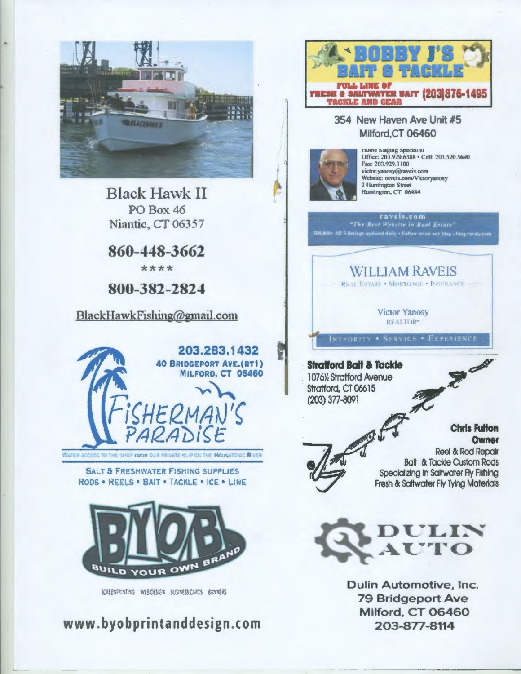

**Black Hawk II PO Box 46** Niantic, CT 06357

860-448-3662 \*\*\*\*

800-382-2824

BlackHawkFishing@gmail.com



WATER ACCESS TO THE SHOP FROM OUR PRIVATE SLIP ON THE MOUSATONIC RIVER

**SALT & FRESHWATER FISHING SUPPLIES** RODS . REELS . BAIT . TACKLE . ICE . LINE



KREENFRATING WEBCESCHY BUSINESSCHOS BANKINS

www.byobprintanddesign.com



#### 354 New Haven Ave Unit #5 Milford, CT 06460



riome staging specialist Office: 203.929.6388 · Cell: 203.520.5690 Fax: 203.929.3100 victor.yanosy@raveis.com Website: raveis.com/Victoryanosy 2 Huntington Street Huntington, CT 06484

### **WILLIAM RAVEIS**

**REAL ESTATE . MORTGAGE . INSURANCE** 

**Victor Yanosy REALTOR®** 

INTEGRITY . SERVICE . EXPERIENCE

**Stratford Bait & Tackle** 1076% Stratford Avenue Stratford, CT 06615  $(203)$  377-8091



CRIM

Owner **Reel & Rod Repair Balt & Tackle Custom Rods** Specializing in Saitwater Fly Fishing Fresh & Saltwater Fly Tying Materials



**Dulin Automotive, Inc. 79 Bridgeport Ave** Milford, CT 06460 203-877-8114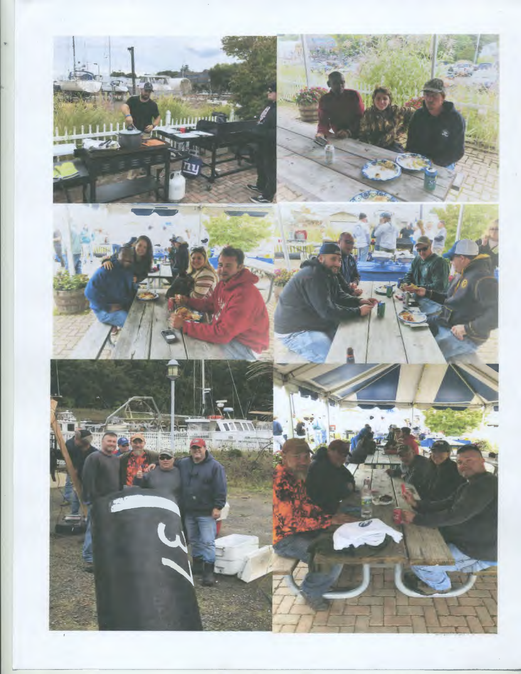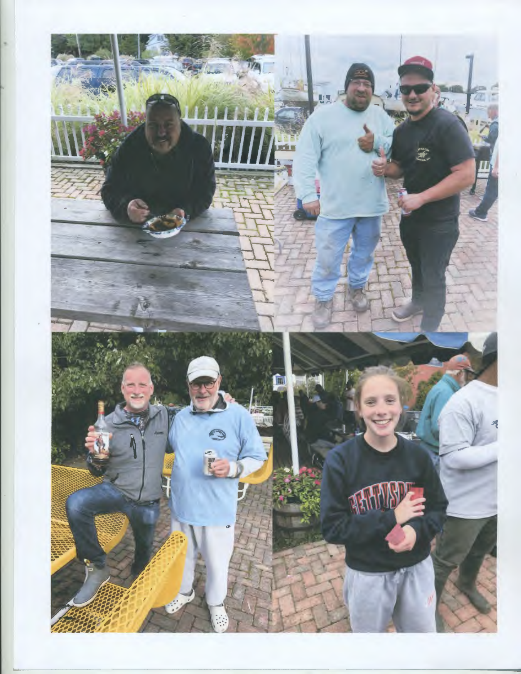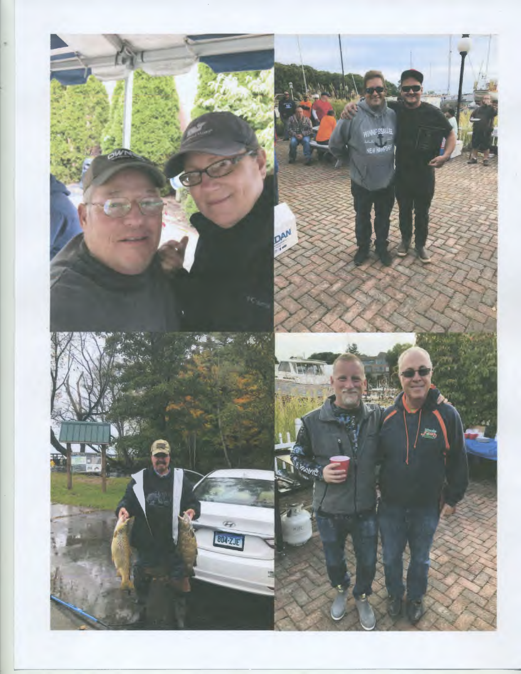